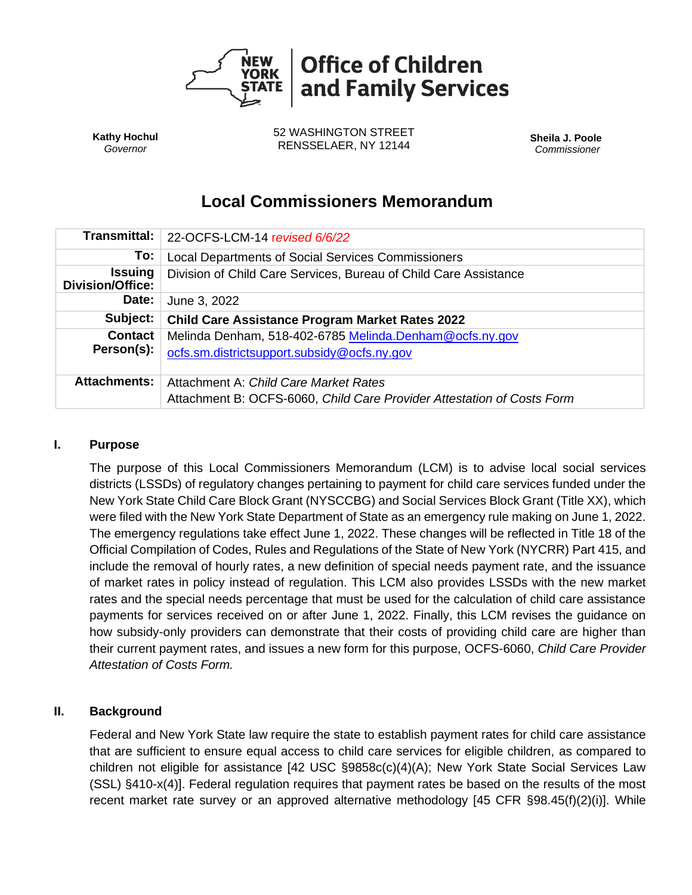

**Kathy Hochul** *Governor*

52 WASHINGTON STREET RENSSELAER, NY 12144 **Sheila J. Poole**

*Commissioner*

# **Local Commissioners Memorandum**

| <b>Transmittal:</b>                       | 22-OCFS-LCM-14 revised 6/6/22                                          |
|-------------------------------------------|------------------------------------------------------------------------|
| To:                                       | Local Departments of Social Services Commissioners                     |
| <b>Issuing</b><br><b>Division/Office:</b> | Division of Child Care Services, Bureau of Child Care Assistance       |
| Date:                                     | June 3, 2022                                                           |
| Subject:                                  | <b>Child Care Assistance Program Market Rates 2022</b>                 |
| <b>Contact</b>                            | Melinda Denham, 518-402-6785 Melinda.Denham@ocfs.ny.gov                |
| Person(s):                                | ocfs.sm.districtsupport.subsidy@ocfs.ny.gov                            |
| <b>Attachments:</b>                       | Attachment A: Child Care Market Rates                                  |
|                                           | Attachment B: OCFS-6060, Child Care Provider Attestation of Costs Form |

#### **I. Purpose**

The purpose of this Local Commissioners Memorandum (LCM) is to advise local social services districts (LSSDs) of regulatory changes pertaining to payment for child care services funded under the New York State Child Care Block Grant (NYSCCBG) and Social Services Block Grant (Title XX), which were filed with the New York State Department of State as an emergency rule making on June 1, 2022. The emergency regulations take effect June 1, 2022. These changes will be reflected in Title 18 of the Official Compilation of Codes, Rules and Regulations of the State of New York (NYCRR) Part 415, and include the removal of hourly rates, a new definition of special needs payment rate, and the issuance of market rates in policy instead of regulation. This LCM also provides LSSDs with the new market rates and the special needs percentage that must be used for the calculation of child care assistance payments for services received on or after June 1, 2022. Finally, this LCM revises the guidance on how subsidy-only providers can demonstrate that their costs of providing child care are higher than their current payment rates, and issues a new form for this purpose, OCFS-6060, *Child Care Provider Attestation of Costs Form.*

#### **II. Background**

Federal and New York State law require the state to establish payment rates for child care assistance that are sufficient to ensure equal access to child care services for eligible children, as compared to children not eligible for assistance [42 USC §9858c(c)(4)(A); New York State Social Services Law (SSL) §410-x(4)]. Federal regulation requires that payment rates be based on the results of the most recent market rate survey or an approved alternative methodology [45 CFR §98.45(f)(2)(i)]. While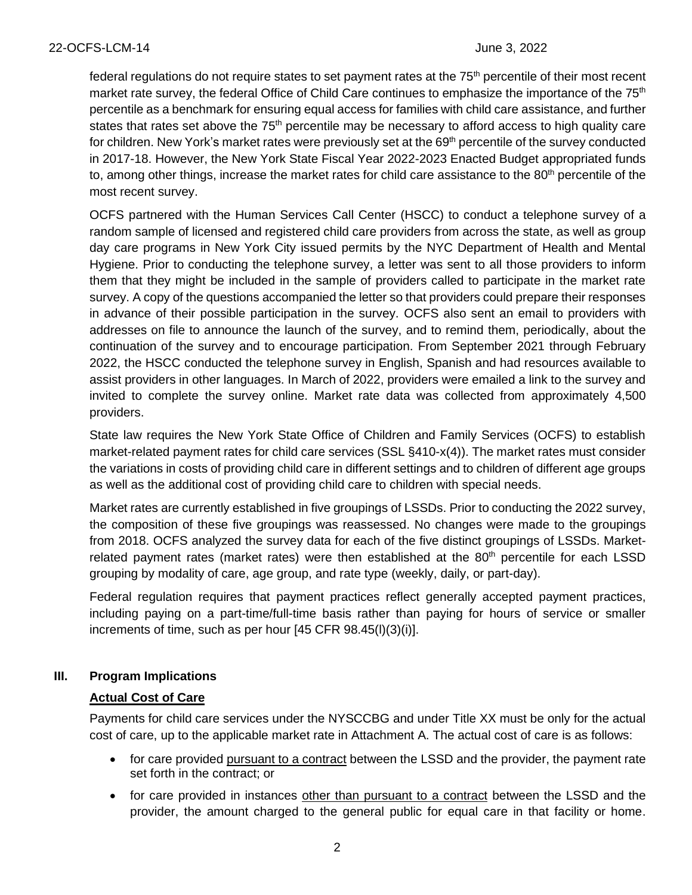federal regulations do not reguire states to set payment rates at the 75<sup>th</sup> percentile of their most recent market rate survey, the federal Office of Child Care continues to emphasize the importance of the 75<sup>th</sup> percentile as a benchmark for ensuring equal access for families with child care assistance, and further states that rates set above the 75<sup>th</sup> percentile may be necessary to afford access to high quality care for children. New York's market rates were previously set at the 69<sup>th</sup> percentile of the survey conducted in 2017-18. However, the New York State Fiscal Year 2022-2023 Enacted Budget appropriated funds to, among other things, increase the market rates for child care assistance to the 80<sup>th</sup> percentile of the most recent survey.

OCFS partnered with the Human Services Call Center (HSCC) to conduct a telephone survey of a random sample of licensed and registered child care providers from across the state, as well as group day care programs in New York City issued permits by the NYC Department of Health and Mental Hygiene. Prior to conducting the telephone survey, a letter was sent to all those providers to inform them that they might be included in the sample of providers called to participate in the market rate survey. A copy of the questions accompanied the letter so that providers could prepare their responses in advance of their possible participation in the survey. OCFS also sent an email to providers with addresses on file to announce the launch of the survey, and to remind them, periodically, about the continuation of the survey and to encourage participation. From September 2021 through February 2022, the HSCC conducted the telephone survey in English, Spanish and had resources available to assist providers in other languages. In March of 2022, providers were emailed a link to the survey and invited to complete the survey online. Market rate data was collected from approximately 4,500 providers.

State law requires the New York State Office of Children and Family Services (OCFS) to establish market-related payment rates for child care services (SSL §410-x(4)). The market rates must consider the variations in costs of providing child care in different settings and to children of different age groups as well as the additional cost of providing child care to children with special needs.

Market rates are currently established in five groupings of LSSDs. Prior to conducting the 2022 survey, the composition of these five groupings was reassessed. No changes were made to the groupings from 2018. OCFS analyzed the survey data for each of the five distinct groupings of LSSDs. Marketrelated payment rates (market rates) were then established at the 80<sup>th</sup> percentile for each LSSD grouping by modality of care, age group, and rate type (weekly, daily, or part-day).

Federal regulation requires that payment practices reflect generally accepted payment practices, including paying on a part-time/full-time basis rather than paying for hours of service or smaller increments of time, such as per hour [45 CFR 98.45(l)(3)(i)].

## **III. Program Implications**

#### **Actual Cost of Care**

Payments for child care services under the NYSCCBG and under Title XX must be only for the actual cost of care, up to the applicable market rate in Attachment A. The actual cost of care is as follows:

- for care provided pursuant to a contract between the LSSD and the provider, the payment rate set forth in the contract; or
- for care provided in instances other than pursuant to a contract between the LSSD and the provider, the amount charged to the general public for equal care in that facility or home.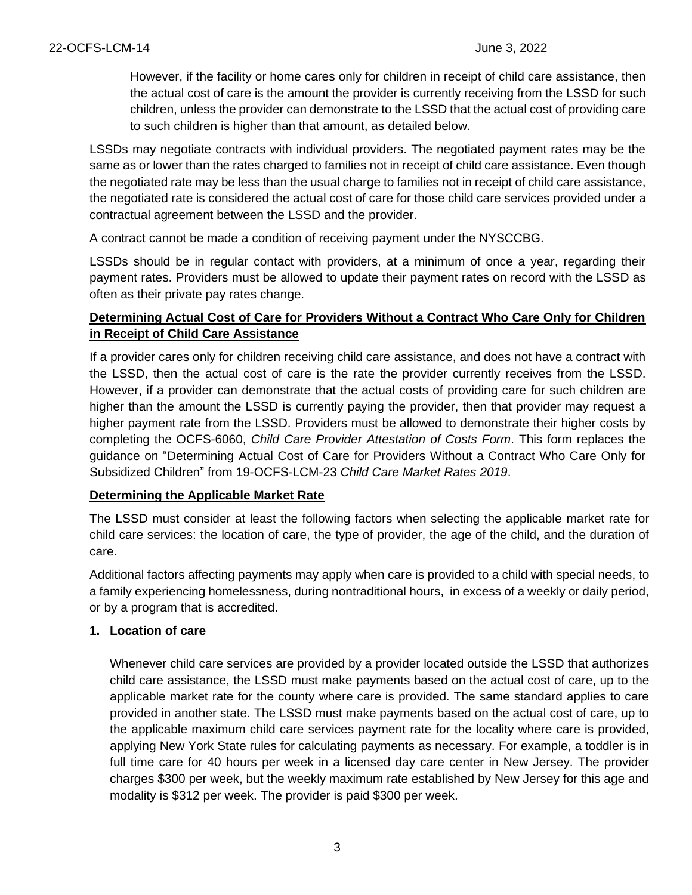However, if the facility or home cares only for children in receipt of child care assistance, then the actual cost of care is the amount the provider is currently receiving from the LSSD for such children, unless the provider can demonstrate to the LSSD that the actual cost of providing care to such children is higher than that amount, as detailed below.

LSSDs may negotiate contracts with individual providers. The negotiated payment rates may be the same as or lower than the rates charged to families not in receipt of child care assistance. Even though the negotiated rate may be less than the usual charge to families not in receipt of child care assistance, the negotiated rate is considered the actual cost of care for those child care services provided under a contractual agreement between the LSSD and the provider.

A contract cannot be made a condition of receiving payment under the NYSCCBG.

LSSDs should be in regular contact with providers, at a minimum of once a year, regarding their payment rates. Providers must be allowed to update their payment rates on record with the LSSD as often as their private pay rates change.

## **Determining Actual Cost of Care for Providers Without a Contract Who Care Only for Children in Receipt of Child Care Assistance**

If a provider cares only for children receiving child care assistance, and does not have a contract with the LSSD, then the actual cost of care is the rate the provider currently receives from the LSSD. However, if a provider can demonstrate that the actual costs of providing care for such children are higher than the amount the LSSD is currently paying the provider, then that provider may request a higher payment rate from the LSSD. Providers must be allowed to demonstrate their higher costs by completing the OCFS-6060, *Child Care Provider Attestation of Costs Form*. This form replaces the guidance on "Determining Actual Cost of Care for Providers Without a Contract Who Care Only for Subsidized Children" from 19-OCFS-LCM-23 *Child Care Market Rates 2019*.

## **Determining the Applicable Market Rate**

The LSSD must consider at least the following factors when selecting the applicable market rate for child care services: the location of care, the type of provider, the age of the child, and the duration of care.

Additional factors affecting payments may apply when care is provided to a child with special needs, to a family experiencing homelessness, during nontraditional hours, in excess of a weekly or daily period, or by a program that is accredited.

## **1. Location of care**

Whenever child care services are provided by a provider located outside the LSSD that authorizes child care assistance, the LSSD must make payments based on the actual cost of care, up to the applicable market rate for the county where care is provided. The same standard applies to care provided in another state. The LSSD must make payments based on the actual cost of care, up to the applicable maximum child care services payment rate for the locality where care is provided, applying New York State rules for calculating payments as necessary. For example, a toddler is in full time care for 40 hours per week in a licensed day care center in New Jersey. The provider charges \$300 per week, but the weekly maximum rate established by New Jersey for this age and modality is \$312 per week. The provider is paid \$300 per week.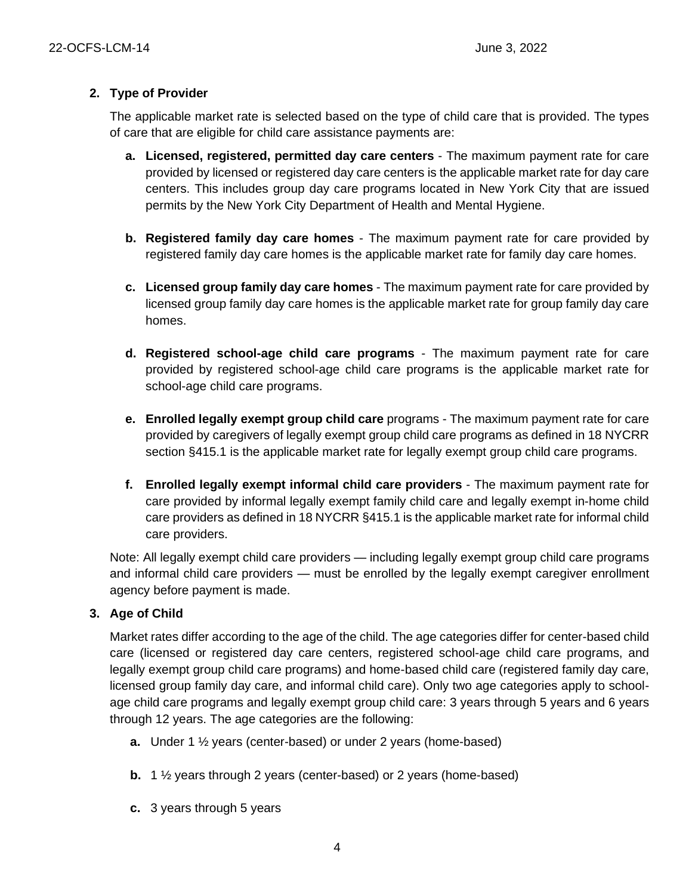## **2. Type of Provider**

The applicable market rate is selected based on the type of child care that is provided. The types of care that are eligible for child care assistance payments are:

- **a. Licensed, registered, permitted day care centers** The maximum payment rate for care provided by licensed or registered day care centers is the applicable market rate for day care centers. This includes group day care programs located in New York City that are issued permits by the New York City Department of Health and Mental Hygiene.
- **b. Registered family day care homes**  The maximum payment rate for care provided by registered family day care homes is the applicable market rate for family day care homes.
- **c. Licensed group family day care homes**  The maximum payment rate for care provided by licensed group family day care homes is the applicable market rate for group family day care homes.
- **d. Registered school-age child care programs**  The maximum payment rate for care provided by registered school-age child care programs is the applicable market rate for school-age child care programs.
- **e. Enrolled legally exempt group child care** programs The maximum payment rate for care provided by caregivers of legally exempt group child care programs as defined in 18 NYCRR section §415.1 is the applicable market rate for legally exempt group child care programs.
- **f. Enrolled legally exempt informal child care providers**  The maximum payment rate for care provided by informal legally exempt family child care and legally exempt in-home child care providers as defined in 18 NYCRR §415.1 is the applicable market rate for informal child care providers.

Note: All legally exempt child care providers — including legally exempt group child care programs and informal child care providers — must be enrolled by the legally exempt caregiver enrollment agency before payment is made.

## **3. Age of Child**

Market rates differ according to the age of the child. The age categories differ for center-based child care (licensed or registered day care centers, registered school-age child care programs, and legally exempt group child care programs) and home-based child care (registered family day care, licensed group family day care, and informal child care). Only two age categories apply to schoolage child care programs and legally exempt group child care: 3 years through 5 years and 6 years through 12 years. The age categories are the following:

- **a.** Under 1 ½ years (center-based) or under 2 years (home-based)
- **b.** 1 ½ years through 2 years (center-based) or 2 years (home-based)
- **c.** 3 years through 5 years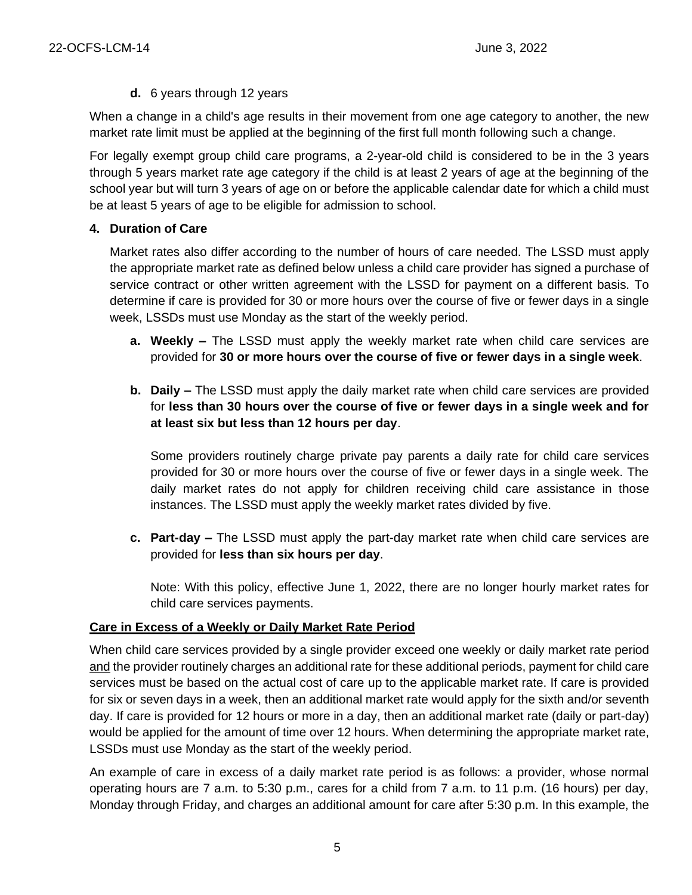#### **d.** 6 years through 12 years

When a change in a child's age results in their movement from one age category to another, the new market rate limit must be applied at the beginning of the first full month following such a change.

For legally exempt group child care programs, a 2-year-old child is considered to be in the 3 years through 5 years market rate age category if the child is at least 2 years of age at the beginning of the school year but will turn 3 years of age on or before the applicable calendar date for which a child must be at least 5 years of age to be eligible for admission to school.

#### **4. Duration of Care**

Market rates also differ according to the number of hours of care needed. The LSSD must apply the appropriate market rate as defined below unless a child care provider has signed a purchase of service contract or other written agreement with the LSSD for payment on a different basis. To determine if care is provided for 30 or more hours over the course of five or fewer days in a single week, LSSDs must use Monday as the start of the weekly period.

- **a. Weekly –** The LSSD must apply the weekly market rate when child care services are provided for **30 or more hours over the course of five or fewer days in a single week**.
- **b. Daily –** The LSSD must apply the daily market rate when child care services are provided for **less than 30 hours over the course of five or fewer days in a single week and for at least six but less than 12 hours per day**.

Some providers routinely charge private pay parents a daily rate for child care services provided for 30 or more hours over the course of five or fewer days in a single week. The daily market rates do not apply for children receiving child care assistance in those instances. The LSSD must apply the weekly market rates divided by five.

**c. Part-day –** The LSSD must apply the part-day market rate when child care services are provided for **less than six hours per day**.

Note: With this policy, effective June 1, 2022, there are no longer hourly market rates for child care services payments.

#### **Care in Excess of a Weekly or Daily Market Rate Period**

When child care services provided by a single provider exceed one weekly or daily market rate period and the provider routinely charges an additional rate for these additional periods, payment for child care services must be based on the actual cost of care up to the applicable market rate. If care is provided for six or seven days in a week, then an additional market rate would apply for the sixth and/or seventh day. If care is provided for 12 hours or more in a day, then an additional market rate (daily or part-day) would be applied for the amount of time over 12 hours. When determining the appropriate market rate, LSSDs must use Monday as the start of the weekly period.

An example of care in excess of a daily market rate period is as follows: a provider, whose normal operating hours are 7 a.m. to 5:30 p.m., cares for a child from 7 a.m. to 11 p.m. (16 hours) per day, Monday through Friday, and charges an additional amount for care after 5:30 p.m. In this example, the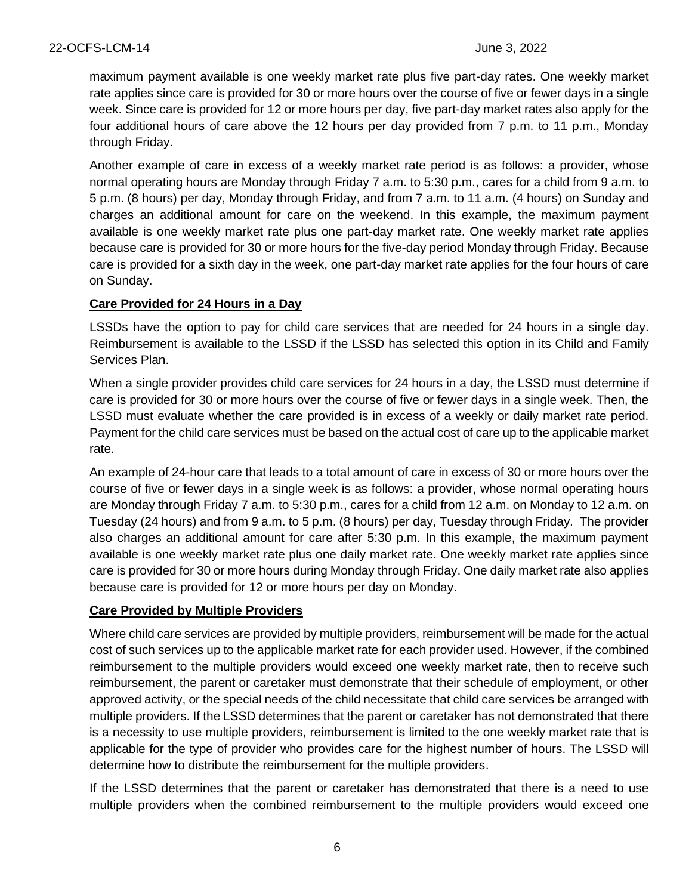maximum payment available is one weekly market rate plus five part-day rates. One weekly market rate applies since care is provided for 30 or more hours over the course of five or fewer days in a single week. Since care is provided for 12 or more hours per day, five part-day market rates also apply for the four additional hours of care above the 12 hours per day provided from 7 p.m. to 11 p.m., Monday through Friday.

Another example of care in excess of a weekly market rate period is as follows: a provider, whose normal operating hours are Monday through Friday 7 a.m. to 5:30 p.m., cares for a child from 9 a.m. to 5 p.m. (8 hours) per day, Monday through Friday, and from 7 a.m. to 11 a.m. (4 hours) on Sunday and charges an additional amount for care on the weekend. In this example, the maximum payment available is one weekly market rate plus one part-day market rate. One weekly market rate applies because care is provided for 30 or more hours for the five-day period Monday through Friday. Because care is provided for a sixth day in the week, one part-day market rate applies for the four hours of care on Sunday.

#### **Care Provided for 24 Hours in a Day**

LSSDs have the option to pay for child care services that are needed for 24 hours in a single day. Reimbursement is available to the LSSD if the LSSD has selected this option in its Child and Family Services Plan.

When a single provider provides child care services for 24 hours in a day, the LSSD must determine if care is provided for 30 or more hours over the course of five or fewer days in a single week. Then, the LSSD must evaluate whether the care provided is in excess of a weekly or daily market rate period. Payment for the child care services must be based on the actual cost of care up to the applicable market rate.

An example of 24-hour care that leads to a total amount of care in excess of 30 or more hours over the course of five or fewer days in a single week is as follows: a provider, whose normal operating hours are Monday through Friday 7 a.m. to 5:30 p.m., cares for a child from 12 a.m. on Monday to 12 a.m. on Tuesday (24 hours) and from 9 a.m. to 5 p.m. (8 hours) per day, Tuesday through Friday. The provider also charges an additional amount for care after 5:30 p.m. In this example, the maximum payment available is one weekly market rate plus one daily market rate. One weekly market rate applies since care is provided for 30 or more hours during Monday through Friday. One daily market rate also applies because care is provided for 12 or more hours per day on Monday.

## **Care Provided by Multiple Providers**

Where child care services are provided by multiple providers, reimbursement will be made for the actual cost of such services up to the applicable market rate for each provider used. However, if the combined reimbursement to the multiple providers would exceed one weekly market rate, then to receive such reimbursement, the parent or caretaker must demonstrate that their schedule of employment, or other approved activity, or the special needs of the child necessitate that child care services be arranged with multiple providers. If the LSSD determines that the parent or caretaker has not demonstrated that there is a necessity to use multiple providers, reimbursement is limited to the one weekly market rate that is applicable for the type of provider who provides care for the highest number of hours. The LSSD will determine how to distribute the reimbursement for the multiple providers.

If the LSSD determines that the parent or caretaker has demonstrated that there is a need to use multiple providers when the combined reimbursement to the multiple providers would exceed one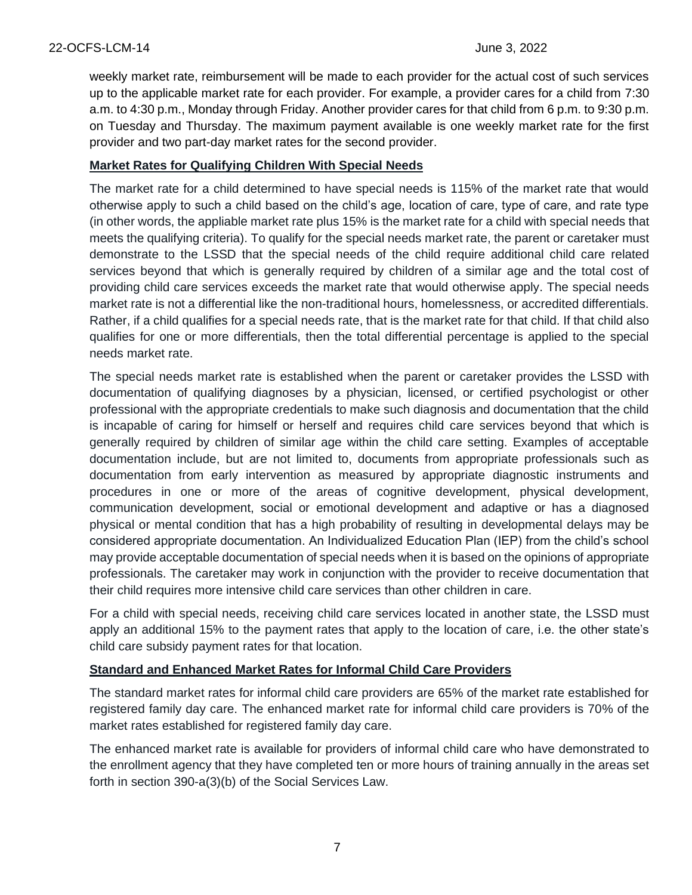weekly market rate, reimbursement will be made to each provider for the actual cost of such services up to the applicable market rate for each provider. For example, a provider cares for a child from 7:30 a.m. to 4:30 p.m., Monday through Friday. Another provider cares for that child from 6 p.m. to 9:30 p.m. on Tuesday and Thursday. The maximum payment available is one weekly market rate for the first provider and two part-day market rates for the second provider.

#### **Market Rates for Qualifying Children With Special Needs**

The market rate for a child determined to have special needs is 115% of the market rate that would otherwise apply to such a child based on the child's age, location of care, type of care, and rate type (in other words, the appliable market rate plus 15% is the market rate for a child with special needs that meets the qualifying criteria). To qualify for the special needs market rate, the parent or caretaker must demonstrate to the LSSD that the special needs of the child require additional child care related services beyond that which is generally required by children of a similar age and the total cost of providing child care services exceeds the market rate that would otherwise apply. The special needs market rate is not a differential like the non-traditional hours, homelessness, or accredited differentials. Rather, if a child qualifies for a special needs rate, that is the market rate for that child. If that child also qualifies for one or more differentials, then the total differential percentage is applied to the special needs market rate.

The special needs market rate is established when the parent or caretaker provides the LSSD with documentation of qualifying diagnoses by a physician, licensed, or certified psychologist or other professional with the appropriate credentials to make such diagnosis and documentation that the child is incapable of caring for himself or herself and requires child care services beyond that which is generally required by children of similar age within the child care setting. Examples of acceptable documentation include, but are not limited to, documents from appropriate professionals such as documentation from early intervention as measured by appropriate diagnostic instruments and procedures in one or more of the areas of cognitive development, physical development, communication development, social or emotional development and adaptive or has a diagnosed physical or mental condition that has a high probability of resulting in developmental delays may be considered appropriate documentation. An Individualized Education Plan (IEP) from the child's school may provide acceptable documentation of special needs when it is based on the opinions of appropriate professionals. The caretaker may work in conjunction with the provider to receive documentation that their child requires more intensive child care services than other children in care.

For a child with special needs, receiving child care services located in another state, the LSSD must apply an additional 15% to the payment rates that apply to the location of care, i.e. the other state's child care subsidy payment rates for that location.

#### **Standard and Enhanced Market Rates for Informal Child Care Providers**

The standard market rates for informal child care providers are 65% of the market rate established for registered family day care. The enhanced market rate for informal child care providers is 70% of the market rates established for registered family day care.

The enhanced market rate is available for providers of informal child care who have demonstrated to the enrollment agency that they have completed ten or more hours of training annually in the areas set forth in section 390-a(3)(b) of the Social Services Law.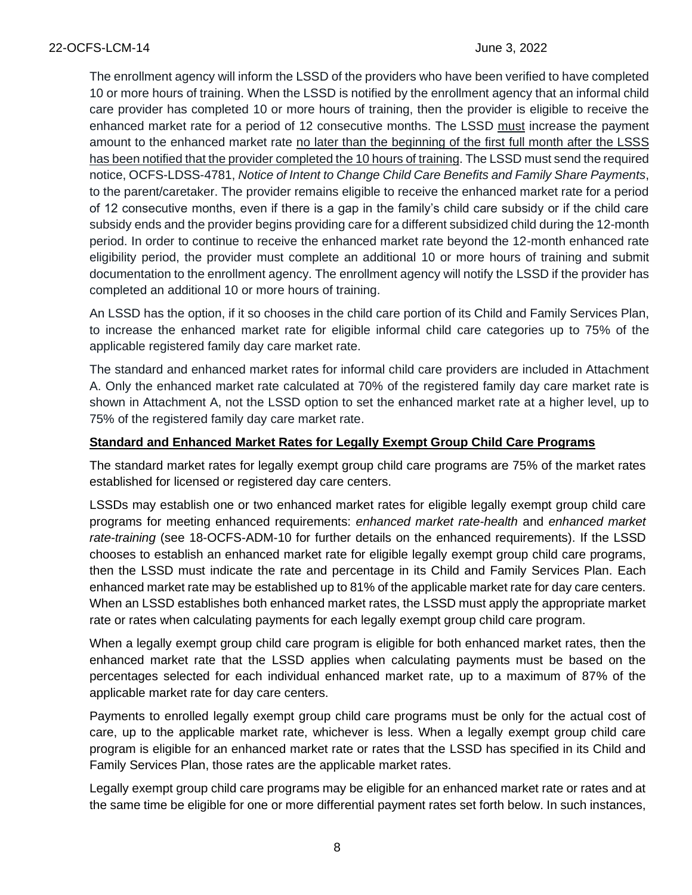The enrollment agency will inform the LSSD of the providers who have been verified to have completed 10 or more hours of training. When the LSSD is notified by the enrollment agency that an informal child care provider has completed 10 or more hours of training, then the provider is eligible to receive the enhanced market rate for a period of 12 consecutive months. The LSSD must increase the payment amount to the enhanced market rate no later than the beginning of the first full month after the LSSS has been notified that the provider completed the 10 hours of training. The LSSD must send the required notice, OCFS-LDSS-4781, *Notice of Intent to Change Child Care Benefits and Family Share Payments*, to the parent/caretaker. The provider remains eligible to receive the enhanced market rate for a period of 12 consecutive months, even if there is a gap in the family's child care subsidy or if the child care subsidy ends and the provider begins providing care for a different subsidized child during the 12-month period. In order to continue to receive the enhanced market rate beyond the 12-month enhanced rate eligibility period, the provider must complete an additional 10 or more hours of training and submit documentation to the enrollment agency. The enrollment agency will notify the LSSD if the provider has completed an additional 10 or more hours of training.

An LSSD has the option, if it so chooses in the child care portion of its Child and Family Services Plan, to increase the enhanced market rate for eligible informal child care categories up to 75% of the applicable registered family day care market rate.

The standard and enhanced market rates for informal child care providers are included in Attachment A. Only the enhanced market rate calculated at 70% of the registered family day care market rate is shown in Attachment A, not the LSSD option to set the enhanced market rate at a higher level, up to 75% of the registered family day care market rate.

#### **Standard and Enhanced Market Rates for Legally Exempt Group Child Care Programs**

The standard market rates for legally exempt group child care programs are 75% of the market rates established for licensed or registered day care centers.

LSSDs may establish one or two enhanced market rates for eligible legally exempt group child care programs for meeting enhanced requirements: *enhanced market rate-health* and *enhanced market rate-training* (see 18-OCFS-ADM-10 for further details on the enhanced requirements). If the LSSD chooses to establish an enhanced market rate for eligible legally exempt group child care programs, then the LSSD must indicate the rate and percentage in its Child and Family Services Plan. Each enhanced market rate may be established up to 81% of the applicable market rate for day care centers. When an LSSD establishes both enhanced market rates, the LSSD must apply the appropriate market rate or rates when calculating payments for each legally exempt group child care program.

When a legally exempt group child care program is eligible for both enhanced market rates, then the enhanced market rate that the LSSD applies when calculating payments must be based on the percentages selected for each individual enhanced market rate, up to a maximum of 87% of the applicable market rate for day care centers.

Payments to enrolled legally exempt group child care programs must be only for the actual cost of care, up to the applicable market rate, whichever is less. When a legally exempt group child care program is eligible for an enhanced market rate or rates that the LSSD has specified in its Child and Family Services Plan, those rates are the applicable market rates.

Legally exempt group child care programs may be eligible for an enhanced market rate or rates and at the same time be eligible for one or more differential payment rates set forth below. In such instances,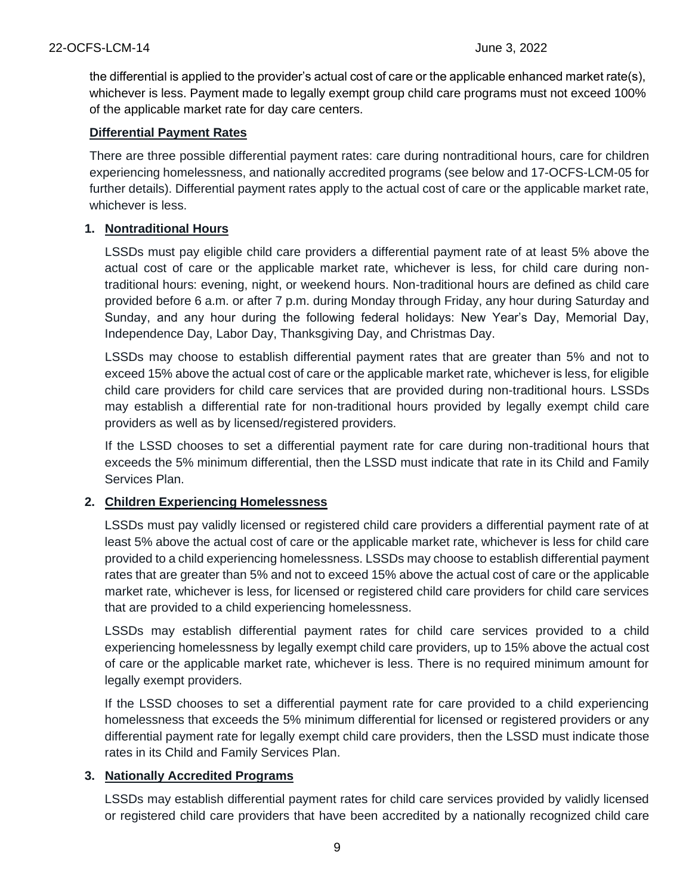the differential is applied to the provider's actual cost of care or the applicable enhanced market rate(s), whichever is less. Payment made to legally exempt group child care programs must not exceed 100% of the applicable market rate for day care centers.

#### **Differential Payment Rates**

There are three possible differential payment rates: care during nontraditional hours, care for children experiencing homelessness, and nationally accredited programs (see below and 17-OCFS-LCM-05 for further details). Differential payment rates apply to the actual cost of care or the applicable market rate, whichever is less.

#### **1. Nontraditional Hours**

LSSDs must pay eligible child care providers a differential payment rate of at least 5% above the actual cost of care or the applicable market rate, whichever is less, for child care during nontraditional hours: evening, night, or weekend hours. Non-traditional hours are defined as child care provided before 6 a.m. or after 7 p.m. during Monday through Friday, any hour during Saturday and Sunday, and any hour during the following federal holidays: New Year's Day, Memorial Day, Independence Day, Labor Day, Thanksgiving Day, and Christmas Day.

LSSDs may choose to establish differential payment rates that are greater than 5% and not to exceed 15% above the actual cost of care or the applicable market rate, whichever is less, for eligible child care providers for child care services that are provided during non-traditional hours. LSSDs may establish a differential rate for non-traditional hours provided by legally exempt child care providers as well as by licensed/registered providers.

If the LSSD chooses to set a differential payment rate for care during non-traditional hours that exceeds the 5% minimum differential, then the LSSD must indicate that rate in its Child and Family Services Plan.

## **2. Children Experiencing Homelessness**

LSSDs must pay validly licensed or registered child care providers a differential payment rate of at least 5% above the actual cost of care or the applicable market rate, whichever is less for child care provided to a child experiencing homelessness. LSSDs may choose to establish differential payment rates that are greater than 5% and not to exceed 15% above the actual cost of care or the applicable market rate, whichever is less, for licensed or registered child care providers for child care services that are provided to a child experiencing homelessness.

LSSDs may establish differential payment rates for child care services provided to a child experiencing homelessness by legally exempt child care providers, up to 15% above the actual cost of care or the applicable market rate, whichever is less. There is no required minimum amount for legally exempt providers.

If the LSSD chooses to set a differential payment rate for care provided to a child experiencing homelessness that exceeds the 5% minimum differential for licensed or registered providers or any differential payment rate for legally exempt child care providers, then the LSSD must indicate those rates in its Child and Family Services Plan.

#### **3. Nationally Accredited Programs**

LSSDs may establish differential payment rates for child care services provided by validly licensed or registered child care providers that have been accredited by a nationally recognized child care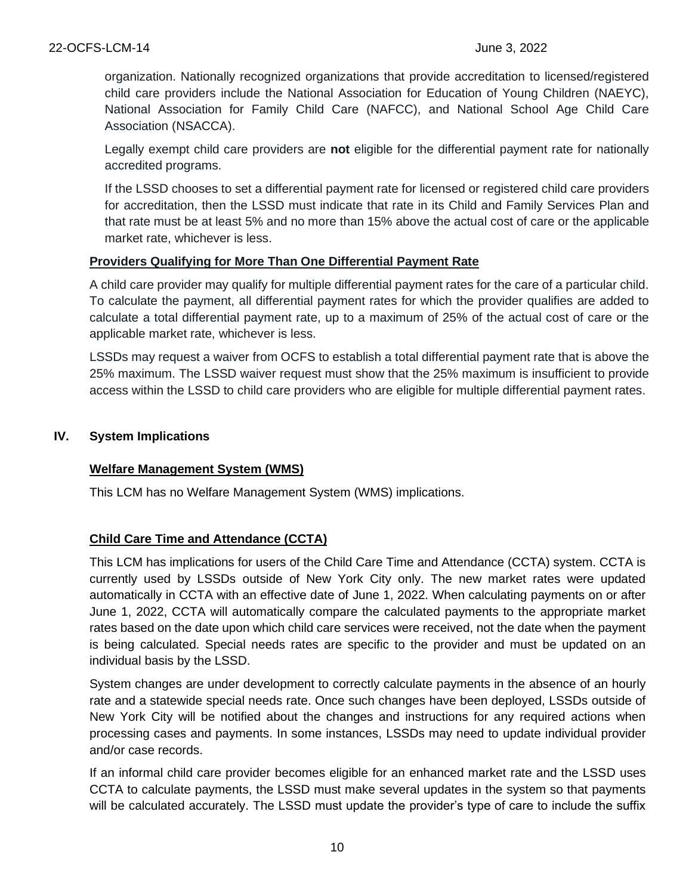organization. Nationally recognized organizations that provide accreditation to licensed/registered child care providers include the National Association for Education of Young Children (NAEYC), National Association for Family Child Care (NAFCC), and National School Age Child Care Association (NSACCA).

Legally exempt child care providers are **not** eligible for the differential payment rate for nationally accredited programs.

If the LSSD chooses to set a differential payment rate for licensed or registered child care providers for accreditation, then the LSSD must indicate that rate in its Child and Family Services Plan and that rate must be at least 5% and no more than 15% above the actual cost of care or the applicable market rate, whichever is less.

#### **Providers Qualifying for More Than One Differential Payment Rate**

A child care provider may qualify for multiple differential payment rates for the care of a particular child. To calculate the payment, all differential payment rates for which the provider qualifies are added to calculate a total differential payment rate, up to a maximum of 25% of the actual cost of care or the applicable market rate, whichever is less.

LSSDs may request a waiver from OCFS to establish a total differential payment rate that is above the 25% maximum. The LSSD waiver request must show that the 25% maximum is insufficient to provide access within the LSSD to child care providers who are eligible for multiple differential payment rates.

#### **IV. System Implications**

## **Welfare Management System (WMS)**

This LCM has no Welfare Management System (WMS) implications.

## **Child Care Time and Attendance (CCTA)**

This LCM has implications for users of the Child Care Time and Attendance (CCTA) system. CCTA is currently used by LSSDs outside of New York City only. The new market rates were updated automatically in CCTA with an effective date of June 1, 2022. When calculating payments on or after June 1, 2022, CCTA will automatically compare the calculated payments to the appropriate market rates based on the date upon which child care services were received, not the date when the payment is being calculated. Special needs rates are specific to the provider and must be updated on an individual basis by the LSSD.

System changes are under development to correctly calculate payments in the absence of an hourly rate and a statewide special needs rate. Once such changes have been deployed, LSSDs outside of New York City will be notified about the changes and instructions for any required actions when processing cases and payments. In some instances, LSSDs may need to update individual provider and/or case records.

If an informal child care provider becomes eligible for an enhanced market rate and the LSSD uses CCTA to calculate payments, the LSSD must make several updates in the system so that payments will be calculated accurately. The LSSD must update the provider's type of care to include the suffix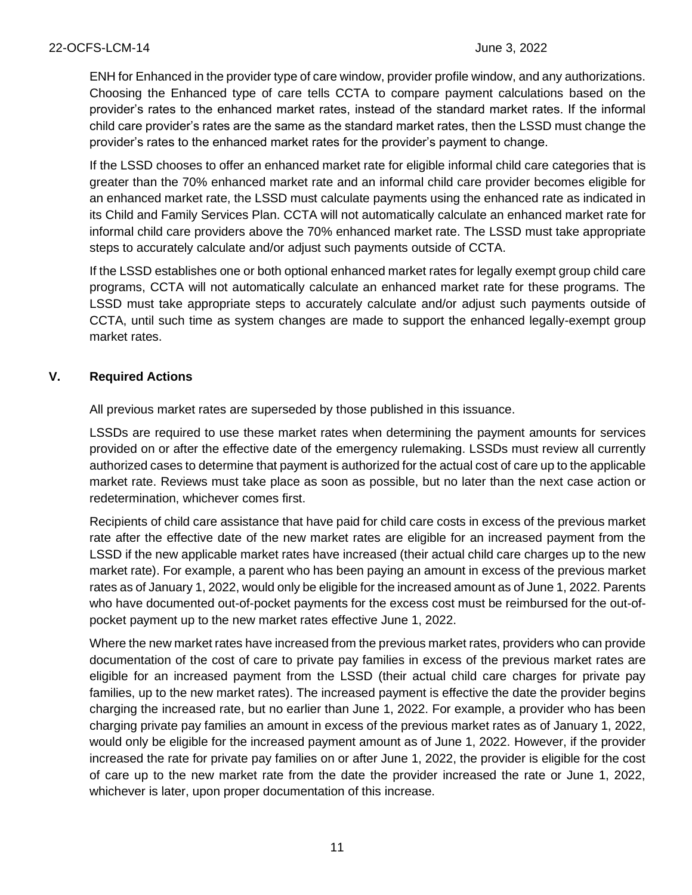ENH for Enhanced in the provider type of care window, provider profile window, and any authorizations. Choosing the Enhanced type of care tells CCTA to compare payment calculations based on the provider's rates to the enhanced market rates, instead of the standard market rates. If the informal child care provider's rates are the same as the standard market rates, then the LSSD must change the provider's rates to the enhanced market rates for the provider's payment to change.

If the LSSD chooses to offer an enhanced market rate for eligible informal child care categories that is greater than the 70% enhanced market rate and an informal child care provider becomes eligible for an enhanced market rate, the LSSD must calculate payments using the enhanced rate as indicated in its Child and Family Services Plan. CCTA will not automatically calculate an enhanced market rate for informal child care providers above the 70% enhanced market rate. The LSSD must take appropriate steps to accurately calculate and/or adjust such payments outside of CCTA.

If the LSSD establishes one or both optional enhanced market rates for legally exempt group child care programs, CCTA will not automatically calculate an enhanced market rate for these programs. The LSSD must take appropriate steps to accurately calculate and/or adjust such payments outside of CCTA, until such time as system changes are made to support the enhanced legally-exempt group market rates.

#### **V. Required Actions**

All previous market rates are superseded by those published in this issuance.

LSSDs are required to use these market rates when determining the payment amounts for services provided on or after the effective date of the emergency rulemaking. LSSDs must review all currently authorized cases to determine that payment is authorized for the actual cost of care up to the applicable market rate. Reviews must take place as soon as possible, but no later than the next case action or redetermination, whichever comes first.

Recipients of child care assistance that have paid for child care costs in excess of the previous market rate after the effective date of the new market rates are eligible for an increased payment from the LSSD if the new applicable market rates have increased (their actual child care charges up to the new market rate). For example, a parent who has been paying an amount in excess of the previous market rates as of January 1, 2022, would only be eligible for the increased amount as of June 1, 2022. Parents who have documented out-of-pocket payments for the excess cost must be reimbursed for the out-ofpocket payment up to the new market rates effective June 1, 2022.

Where the new market rates have increased from the previous market rates, providers who can provide documentation of the cost of care to private pay families in excess of the previous market rates are eligible for an increased payment from the LSSD (their actual child care charges for private pay families, up to the new market rates). The increased payment is effective the date the provider begins charging the increased rate, but no earlier than June 1, 2022. For example, a provider who has been charging private pay families an amount in excess of the previous market rates as of January 1, 2022, would only be eligible for the increased payment amount as of June 1, 2022. However, if the provider increased the rate for private pay families on or after June 1, 2022, the provider is eligible for the cost of care up to the new market rate from the date the provider increased the rate or June 1, 2022, whichever is later, upon proper documentation of this increase.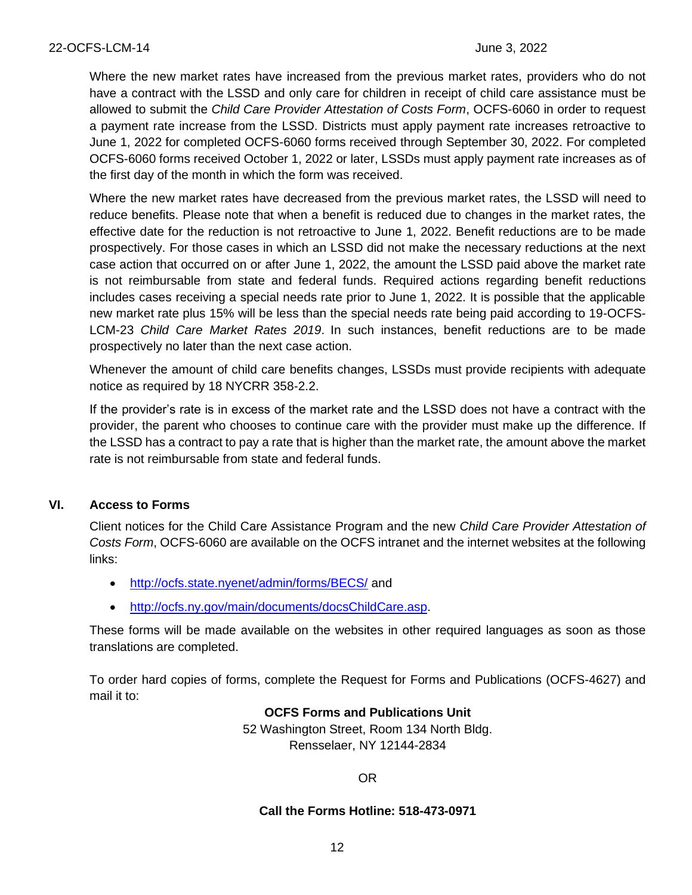Where the new market rates have increased from the previous market rates, providers who do not have a contract with the LSSD and only care for children in receipt of child care assistance must be allowed to submit the *Child Care Provider Attestation of Costs Form*, OCFS-6060 in order to request a payment rate increase from the LSSD. Districts must apply payment rate increases retroactive to June 1, 2022 for completed OCFS-6060 forms received through September 30, 2022. For completed OCFS-6060 forms received October 1, 2022 or later, LSSDs must apply payment rate increases as of the first day of the month in which the form was received.

Where the new market rates have decreased from the previous market rates, the LSSD will need to reduce benefits. Please note that when a benefit is reduced due to changes in the market rates, the effective date for the reduction is not retroactive to June 1, 2022. Benefit reductions are to be made prospectively. For those cases in which an LSSD did not make the necessary reductions at the next case action that occurred on or after June 1, 2022, the amount the LSSD paid above the market rate is not reimbursable from state and federal funds. Required actions regarding benefit reductions includes cases receiving a special needs rate prior to June 1, 2022. It is possible that the applicable new market rate plus 15% will be less than the special needs rate being paid according to 19-OCFS-LCM-23 *Child Care Market Rates 2019*. In such instances, benefit reductions are to be made prospectively no later than the next case action.

Whenever the amount of child care benefits changes, LSSDs must provide recipients with adequate notice as required by 18 NYCRR 358-2.2.

If the provider's rate is in excess of the market rate and the LSSD does not have a contract with the provider, the parent who chooses to continue care with the provider must make up the difference. If the LSSD has a contract to pay a rate that is higher than the market rate, the amount above the market rate is not reimbursable from state and federal funds.

#### **VI. Access to Forms**

Client notices for the Child Care Assistance Program and the new *Child Care Provider Attestation of Costs Form*, OCFS-6060 are available on the OCFS intranet and the internet websites at the following links:

- <http://ocfs.state.nyenet/admin/forms/BECS/> and
- [http://ocfs.ny.gov/main/documents/docsChildCare.asp.](http://ocfs.ny.gov/main/documents/docsChildCare.asp)

These forms will be made available on the websites in other required languages as soon as those translations are completed.

To order hard copies of forms, complete the Request for Forms and Publications (OCFS-4627) and mail it to:

> **OCFS Forms and Publications Unit** 52 Washington Street, Room 134 North Bldg. Rensselaer, NY 12144-2834

> > OR

#### **Call the Forms Hotline: 518-473-0971**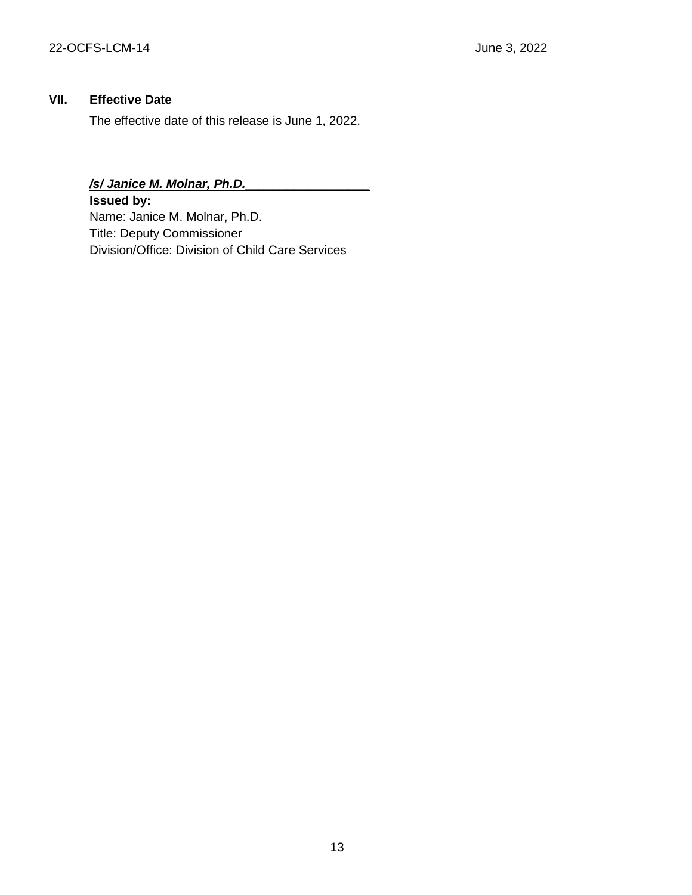### **VII. Effective Date**

The effective date of this release is June 1, 2022.

## */s/ Janice M. Molnar, Ph.D.\_\_\_\_\_\_\_\_\_\_\_\_\_\_\_\_\_\_*

**Issued by:** Name: Janice M. Molnar, Ph.D. Title: Deputy Commissioner Division/Office: Division of Child Care Services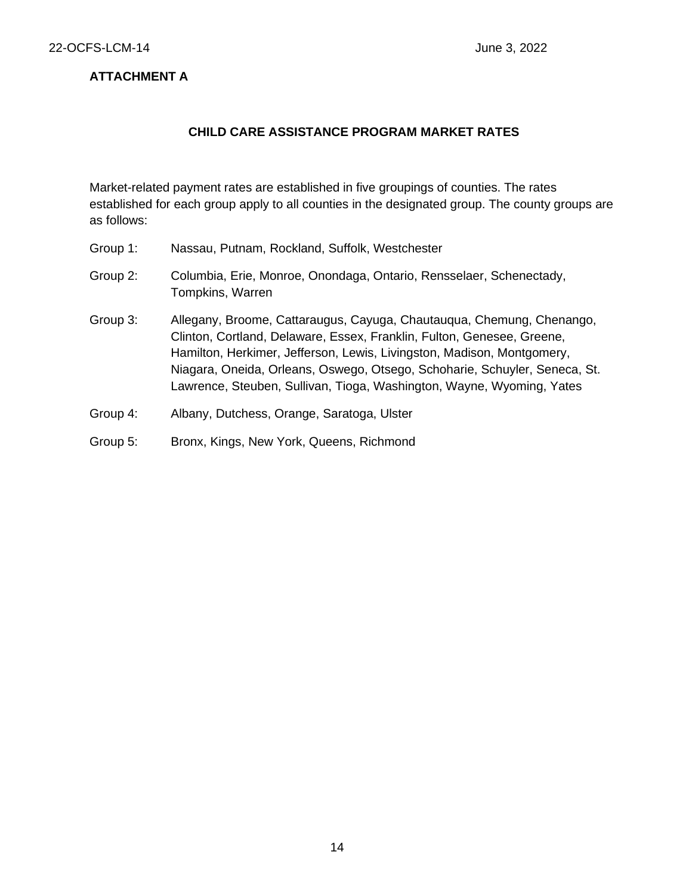### **ATTACHMENT A**

#### **CHILD CARE ASSISTANCE PROGRAM MARKET RATES**

Market-related payment rates are established in five groupings of counties. The rates established for each group apply to all counties in the designated group. The county groups are as follows:

- Group 1: Nassau, Putnam, Rockland, Suffolk, Westchester
- Group 2: Columbia, Erie, Monroe, Onondaga, Ontario, Rensselaer, Schenectady, Tompkins, Warren
- Group 3: Allegany, Broome, Cattaraugus, Cayuga, Chautauqua, Chemung, Chenango, Clinton, Cortland, Delaware, Essex, Franklin, Fulton, Genesee, Greene, Hamilton, Herkimer, Jefferson, Lewis, Livingston, Madison, Montgomery, Niagara, Oneida, Orleans, Oswego, Otsego, Schoharie, Schuyler, Seneca, St. Lawrence, Steuben, Sullivan, Tioga, Washington, Wayne, Wyoming, Yates
- Group 4: Albany, Dutchess, Orange, Saratoga, Ulster
- Group 5: Bronx, Kings, New York, Queens, Richmond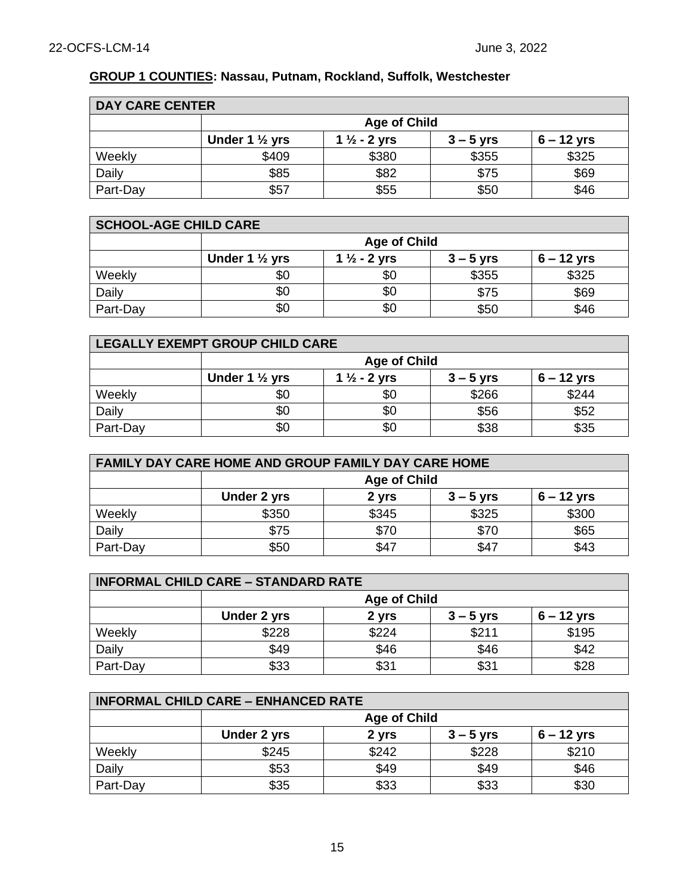## **GROUP 1 COUNTIES: Nassau, Putnam, Rockland, Suffolk, Westchester**

| <b>DAY CARE CENTER</b> |                                                                                     |       |       |       |
|------------------------|-------------------------------------------------------------------------------------|-------|-------|-------|
|                        | <b>Age of Child</b>                                                                 |       |       |       |
|                        | Under 1 $\frac{1}{2}$ yrs<br>$6 - 12$ yrs<br>1 $\frac{1}{2}$ - 2 yrs<br>$3 - 5$ yrs |       |       |       |
| Weekly                 | \$409                                                                               | \$380 | \$355 | \$325 |
| Daily                  | \$85                                                                                | \$82  | \$75  | \$69  |
| Part-Day               | \$57                                                                                | \$55  | \$50  | \$46  |

| <b>SCHOOL-AGE CHILD CARE</b> |                                                                                     |     |       |       |  |
|------------------------------|-------------------------------------------------------------------------------------|-----|-------|-------|--|
|                              | <b>Age of Child</b>                                                                 |     |       |       |  |
|                              | Under 1 $\frac{1}{2}$ yrs<br>1 $\frac{1}{2}$ - 2 yrs<br>$6 - 12$ yrs<br>$3 - 5$ yrs |     |       |       |  |
| Weekly                       | \$0                                                                                 | \$0 | \$355 | \$325 |  |
| Daily                        | \$0                                                                                 | \$0 | \$75  | \$69  |  |
| Part-Day                     | \$0                                                                                 | \$0 | \$50  | \$46  |  |

| LEGALLY EXEMPT GROUP CHILD CARE |                                                                                     |     |       |       |  |
|---------------------------------|-------------------------------------------------------------------------------------|-----|-------|-------|--|
|                                 | <b>Age of Child</b>                                                                 |     |       |       |  |
|                                 | Under 1 $\frac{1}{2}$ yrs<br>1 $\frac{1}{2}$ - 2 yrs<br>$6 - 12$ yrs<br>$3 - 5$ yrs |     |       |       |  |
| Weekly                          | \$0                                                                                 | \$0 | \$266 | \$244 |  |
| Daily                           | \$0                                                                                 |     | \$56  | \$52  |  |
| Part-Day                        | \$0                                                                                 | \$0 | \$38  | \$35  |  |

| <b>FAMILY DAY CARE HOME AND GROUP FAMILY DAY CARE HOME</b> |                                                     |       |       |       |  |
|------------------------------------------------------------|-----------------------------------------------------|-------|-------|-------|--|
|                                                            | <b>Age of Child</b>                                 |       |       |       |  |
|                                                            | $6 - 12$ yrs<br>Under 2 yrs<br>2 yrs<br>$3 - 5$ yrs |       |       |       |  |
| Weekly                                                     | \$350                                               | \$345 | \$325 | \$300 |  |
| Daily                                                      | \$75                                                | \$70  | \$70  | \$65  |  |
| Part-Day                                                   | \$43<br>\$50<br>\$47<br>\$47                        |       |       |       |  |

| <b>INFORMAL CHILD CARE - STANDARD RATE</b> |                                                     |       |       |       |  |
|--------------------------------------------|-----------------------------------------------------|-------|-------|-------|--|
|                                            | <b>Age of Child</b>                                 |       |       |       |  |
|                                            | $6 - 12$ yrs<br>Under 2 yrs<br>$3 - 5$ yrs<br>2 yrs |       |       |       |  |
| Weekly                                     | \$228                                               | \$224 | \$211 | \$195 |  |
| Daily                                      | \$49                                                | \$46  | \$46  | \$42  |  |
| Part-Day                                   | \$33                                                | \$31  | \$31  | \$28  |  |

| <b>INFORMAL CHILD CARE - ENHANCED RATE</b> |                                                     |       |       |       |  |
|--------------------------------------------|-----------------------------------------------------|-------|-------|-------|--|
|                                            | <b>Age of Child</b>                                 |       |       |       |  |
|                                            | Under 2 yrs<br>$6 - 12$ yrs<br>$3 - 5$ yrs<br>2 yrs |       |       |       |  |
| Weekly                                     | \$245                                               | \$242 | \$228 | \$210 |  |
| Daily                                      | \$53                                                | \$49  | \$49  | \$46  |  |
| Part-Day                                   | \$35                                                | \$33  | \$33  | \$30  |  |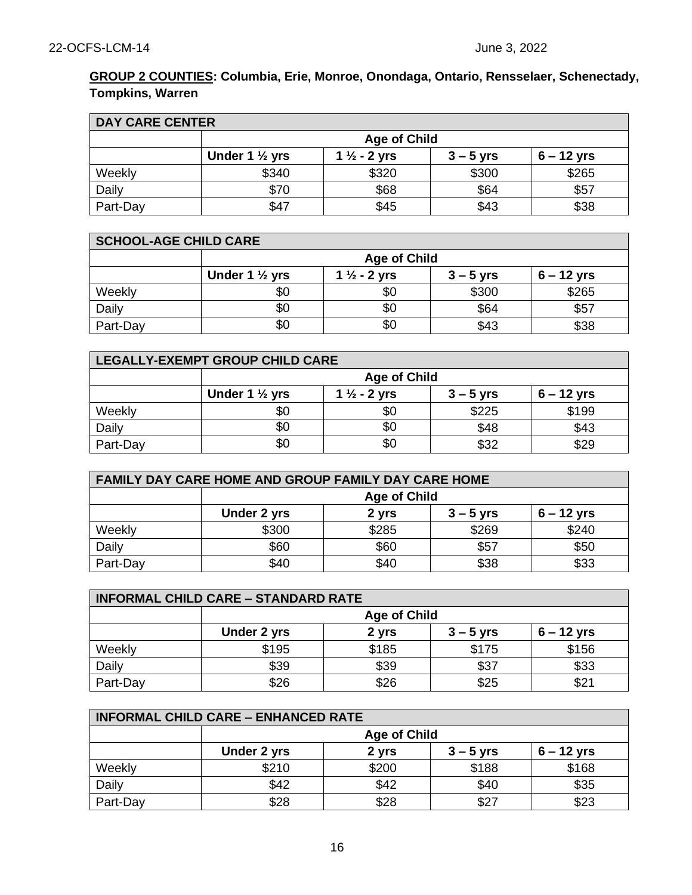## **GROUP 2 COUNTIES: Columbia, Erie, Monroe, Onondaga, Ontario, Rensselaer, Schenectady, Tompkins, Warren**

| <b>DAY CARE CENTER</b> |                           |                         |             |              |
|------------------------|---------------------------|-------------------------|-------------|--------------|
|                        | <b>Age of Child</b>       |                         |             |              |
|                        | Under 1 $\frac{1}{2}$ yrs | 1 $\frac{1}{2}$ - 2 yrs | $3 - 5$ yrs | $6 - 12$ yrs |
| Weekly                 | \$340                     | \$320                   | \$300       | \$265        |
| Daily                  | \$70                      | \$68                    | \$64        | \$57         |
| Part-Day               | \$47                      | \$45                    | \$43        | \$38         |

| <b>SCHOOL-AGE CHILD CARE</b> |                                                                                     |     |       |       |  |
|------------------------------|-------------------------------------------------------------------------------------|-----|-------|-------|--|
|                              | <b>Age of Child</b>                                                                 |     |       |       |  |
|                              | Under 1 $\frac{1}{2}$ yrs<br>1 $\frac{1}{2}$ - 2 yrs<br>$6 - 12$ yrs<br>$3 - 5$ yrs |     |       |       |  |
| Weekly                       | \$0                                                                                 | \$0 | \$300 | \$265 |  |
| Daily                        | \$0                                                                                 | \$0 | \$64  | \$57  |  |
| Part-Day                     | \$0                                                                                 | \$0 | \$43  | \$38  |  |

| LEGALLY-EXEMPT GROUP CHILD CARE |                                                                                     |     |       |       |  |
|---------------------------------|-------------------------------------------------------------------------------------|-----|-------|-------|--|
|                                 | <b>Age of Child</b>                                                                 |     |       |       |  |
|                                 | Under 1 $\frac{1}{2}$ yrs<br>1 $\frac{1}{2}$ - 2 yrs<br>$6 - 12$ yrs<br>$3 - 5$ yrs |     |       |       |  |
| Weekly                          | \$0                                                                                 | \$0 | \$225 | \$199 |  |
| Daily                           | \$0                                                                                 | \$0 | \$48  | \$43  |  |
| Part-Day                        | \$0                                                                                 | \$0 | \$32  | \$29  |  |

| <b>FAMILY DAY CARE HOME AND GROUP FAMILY DAY CARE HOME</b> |                                                     |                      |       |       |  |  |  |
|------------------------------------------------------------|-----------------------------------------------------|----------------------|-------|-------|--|--|--|
|                                                            | <b>Age of Child</b>                                 |                      |       |       |  |  |  |
|                                                            | Under 2 yrs<br>$3 - 5$ yrs<br>$6 - 12$ yrs<br>2 yrs |                      |       |       |  |  |  |
| Weekly                                                     | \$300                                               | \$285                | \$269 | \$240 |  |  |  |
| Daily                                                      | \$60                                                | \$60                 | \$57  | \$50  |  |  |  |
| Part-Day                                                   | \$40                                                | \$33<br>\$38<br>\$40 |       |       |  |  |  |

| <b>INFORMAL CHILD CARE - STANDARD RATE</b> |                                                     |       |       |       |  |
|--------------------------------------------|-----------------------------------------------------|-------|-------|-------|--|
|                                            | <b>Age of Child</b>                                 |       |       |       |  |
|                                            | Under 2 yrs<br>2 yrs<br>$6 - 12$ yrs<br>$3 - 5$ yrs |       |       |       |  |
| Weekly                                     | \$195                                               | \$185 | \$175 | \$156 |  |
| Daily                                      | \$39                                                | \$39  | \$37  | \$33  |  |
| Part-Day                                   | \$26                                                | \$26  | \$25  | \$2   |  |

| <b>INFORMAL CHILD CARE - ENHANCED RATE</b> |                     |       |             |              |
|--------------------------------------------|---------------------|-------|-------------|--------------|
|                                            | <b>Age of Child</b> |       |             |              |
|                                            | Under 2 yrs         | 2 yrs | $3 - 5$ yrs | $6 - 12$ yrs |
| Weekly                                     | \$210               | \$200 | \$188       | \$168        |
| Daily                                      | \$42                | \$42  | \$40        | \$35         |
| Part-Day                                   | \$28                | \$28  | \$27        | \$23         |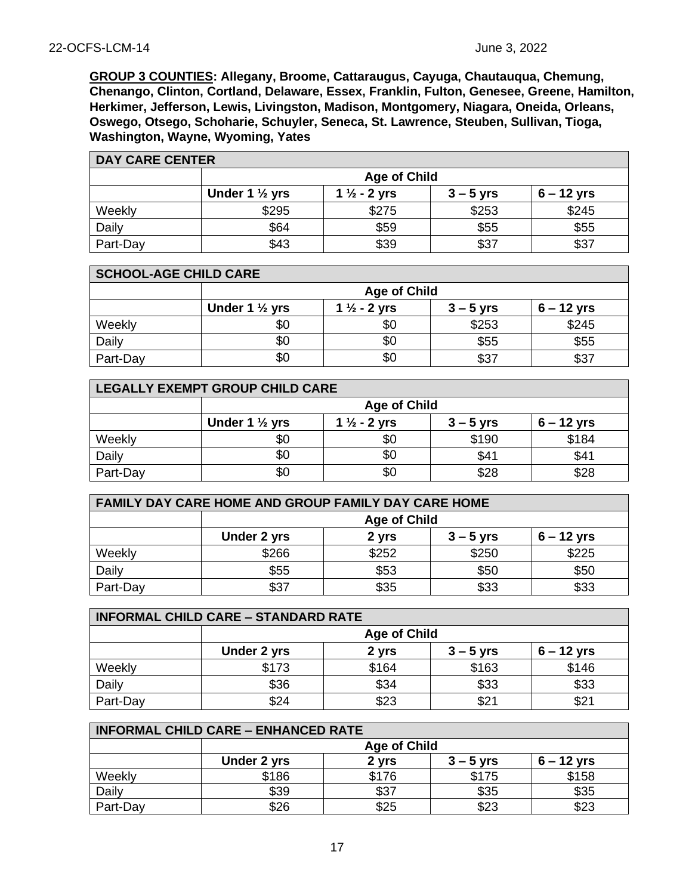**GROUP 3 COUNTIES: Allegany, Broome, Cattaraugus, Cayuga, Chautauqua, Chemung, Chenango, Clinton, Cortland, Delaware, Essex, Franklin, Fulton, Genesee, Greene, Hamilton, Herkimer, Jefferson, Lewis, Livingston, Madison, Montgomery, Niagara, Oneida, Orleans, Oswego, Otsego, Schoharie, Schuyler, Seneca, St. Lawrence, Steuben, Sullivan, Tioga, Washington, Wayne, Wyoming, Yates**

| <b>DAY CARE CENTER</b> |                           |                         |             |              |
|------------------------|---------------------------|-------------------------|-------------|--------------|
|                        | <b>Age of Child</b>       |                         |             |              |
|                        | Under 1 $\frac{1}{2}$ yrs | 1 $\frac{1}{2}$ - 2 yrs | $3 - 5$ yrs | $6 - 12$ yrs |
| Weekly                 | \$295                     | \$275                   | \$253       | \$245        |
| Daily                  | \$64                      | \$59                    | \$55        | \$55         |
| Part-Day               | \$43                      | \$39                    | \$37        | \$37         |

| <b>SCHOOL-AGE CHILD CARE</b> |                           |                         |             |              |  |
|------------------------------|---------------------------|-------------------------|-------------|--------------|--|
|                              |                           | <b>Age of Child</b>     |             |              |  |
|                              | Under 1 $\frac{1}{2}$ yrs | 1 $\frac{1}{2}$ - 2 yrs | $3 - 5$ yrs | $6 - 12$ yrs |  |
| Weekly                       | \$0                       | \$0                     | \$253       | \$245        |  |
| Daily                        | \$0                       | \$0                     | \$55        | \$55         |  |
| Part-Day                     | \$0                       | \$0                     | \$37        | \$37         |  |

| LEGALLY EXEMPT GROUP CHILD CARE |                                                                                     |     |       |       |  |
|---------------------------------|-------------------------------------------------------------------------------------|-----|-------|-------|--|
|                                 | <b>Age of Child</b>                                                                 |     |       |       |  |
|                                 | Under 1 $\frac{1}{2}$ yrs<br>1 $\frac{1}{2}$ - 2 yrs<br>$6 - 12$ yrs<br>$3 - 5$ yrs |     |       |       |  |
| Weekly                          | \$0                                                                                 | \$0 | \$190 | \$184 |  |
| Daily                           | \$0                                                                                 | \$0 | \$41  | \$41  |  |
| Part-Day                        | \$0                                                                                 | \$0 | \$28  | \$28  |  |

| FAMILY DAY CARE HOME AND GROUP FAMILY DAY CARE HOME |                                                     |       |       |       |  |
|-----------------------------------------------------|-----------------------------------------------------|-------|-------|-------|--|
|                                                     | <b>Age of Child</b>                                 |       |       |       |  |
|                                                     | Under 2 yrs<br>$6 - 12$ yrs<br>2 yrs<br>$3 - 5$ yrs |       |       |       |  |
| Weekly                                              | \$266                                               | \$252 | \$250 | \$225 |  |
| Daily                                               | \$55                                                | \$53  | \$50  | \$50  |  |
| Part-Day                                            | \$37                                                | \$35  | \$33  | \$33  |  |

| <b>INFORMAL CHILD CARE - STANDARD RATE</b> |                                                     |       |       |       |  |
|--------------------------------------------|-----------------------------------------------------|-------|-------|-------|--|
|                                            | <b>Age of Child</b>                                 |       |       |       |  |
|                                            | $6 - 12$ yrs<br>Under 2 yrs<br>$3 - 5$ yrs<br>2 yrs |       |       |       |  |
| Weekly                                     | \$173                                               | \$164 | \$163 | \$146 |  |
| Daily                                      | \$36                                                | \$34  | \$33  | \$33  |  |
| Part-Day                                   | \$24                                                | \$23  | \$21  | \$21  |  |

| <b>INFORMAL CHILD CARE - ENHANCED RATE</b> |                    |                     |             |              |  |
|--------------------------------------------|--------------------|---------------------|-------------|--------------|--|
|                                            |                    | <b>Age of Child</b> |             |              |  |
|                                            | <b>Under 2 yrs</b> | 2 yrs               | $3 - 5$ yrs | $6 - 12$ yrs |  |
| Weekly                                     | \$186              | \$176               | \$175       | \$158        |  |
| Daily                                      | \$39               | \$37                | \$35        | \$35         |  |
| Part-Day                                   | \$26               | \$25                | \$23        | \$23         |  |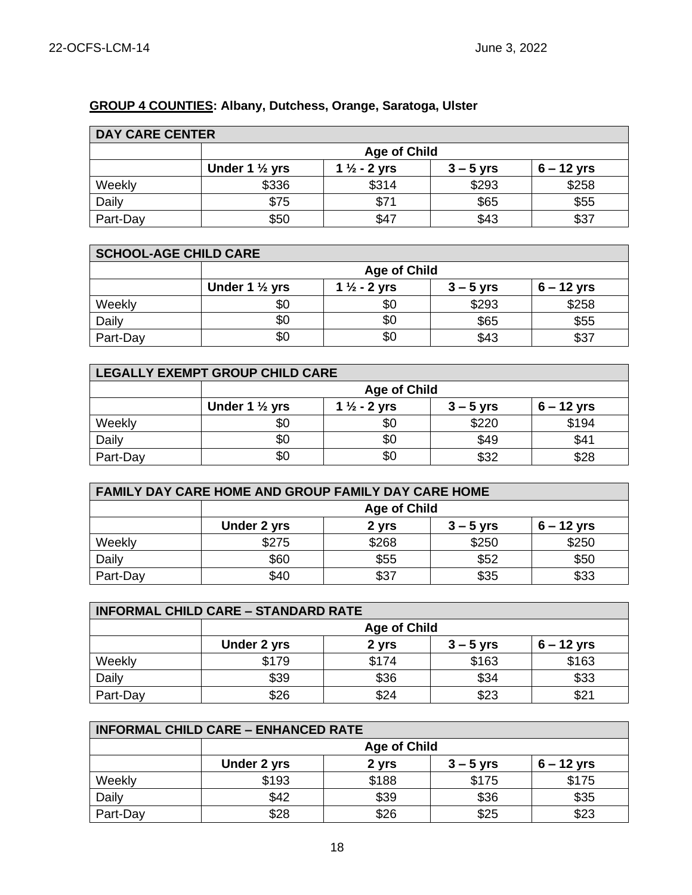## **GROUP 4 COUNTIES: Albany, Dutchess, Orange, Saratoga, Ulster**

| <b>DAY CARE CENTER</b> |                           |                         |             |              |  |
|------------------------|---------------------------|-------------------------|-------------|--------------|--|
|                        |                           | <b>Age of Child</b>     |             |              |  |
|                        | Under 1 $\frac{1}{2}$ yrs | 1 $\frac{1}{2}$ - 2 yrs | $3 - 5$ yrs | $6 - 12$ yrs |  |
| Weekly                 | \$336                     | \$314                   | \$293       | \$258        |  |
| Daily                  | \$75                      | \$71                    | \$65        | \$55         |  |
| Part-Day               | \$50                      | \$47                    | \$43        | \$37         |  |

| <b>SCHOOL-AGE CHILD CARE</b> |                           |                         |             |              |
|------------------------------|---------------------------|-------------------------|-------------|--------------|
|                              | <b>Age of Child</b>       |                         |             |              |
|                              | Under 1 $\frac{1}{2}$ yrs | 1 $\frac{1}{2}$ - 2 yrs | $3 - 5$ yrs | $6 - 12$ yrs |
| Weekly                       | \$0                       | \$0                     | \$293       | \$258        |
| Daily                        | \$0                       | \$0                     | \$65        | \$55         |
| Part-Day                     | \$0                       | \$0                     | \$43        | \$37         |

| LEGALLY EXEMPT GROUP CHILD CARE |                                                                                     |     |       |       |  |
|---------------------------------|-------------------------------------------------------------------------------------|-----|-------|-------|--|
|                                 | <b>Age of Child</b>                                                                 |     |       |       |  |
|                                 | Under 1 $\frac{1}{2}$ yrs<br>1 $\frac{1}{2}$ - 2 yrs<br>$6 - 12$ yrs<br>$3 - 5$ yrs |     |       |       |  |
| Weekly                          | \$0                                                                                 | \$0 | \$220 | \$194 |  |
| Daily                           | \$0                                                                                 | \$0 | \$49  | \$41  |  |
| Part-Day                        | \$0                                                                                 | \$0 | \$32  | \$28  |  |

| <b>FAMILY DAY CARE HOME AND GROUP FAMILY DAY CARE HOME</b> |                                                     |       |       |       |  |
|------------------------------------------------------------|-----------------------------------------------------|-------|-------|-------|--|
|                                                            | <b>Age of Child</b>                                 |       |       |       |  |
|                                                            | Under 2 yrs<br>$6 - 12$ yrs<br>$3 - 5$ yrs<br>2 yrs |       |       |       |  |
| Weekly                                                     | \$275                                               | \$268 | \$250 | \$250 |  |
| Daily                                                      | \$60                                                | \$55  | \$52  | \$50  |  |
| Part-Day                                                   | \$40                                                | \$37  | \$35  | \$33  |  |

| <b>INFORMAL CHILD CARE - STANDARD RATE</b> |                     |       |             |              |
|--------------------------------------------|---------------------|-------|-------------|--------------|
|                                            | <b>Age of Child</b> |       |             |              |
|                                            | Under 2 yrs         | 2 yrs | $3 - 5$ yrs | $6 - 12$ yrs |
| Weekly                                     | \$179               | \$174 | \$163       | \$163        |
| Daily                                      | \$39                | \$36  | \$34        | \$33         |
| Part-Day                                   | \$26                | \$24  | \$23        | \$2'         |

| <b>INFORMAL CHILD CARE - ENHANCED RATE</b> |                                                     |       |       |       |  |  |
|--------------------------------------------|-----------------------------------------------------|-------|-------|-------|--|--|
|                                            | <b>Age of Child</b>                                 |       |       |       |  |  |
|                                            | $6 - 12$ yrs<br>Under 2 yrs<br>2 yrs<br>$3 - 5$ yrs |       |       |       |  |  |
| Weekly                                     | \$193                                               | \$188 | \$175 | \$175 |  |  |
| Daily                                      | \$42                                                | \$39  | \$36  | \$35  |  |  |
| Part-Day                                   | \$28                                                | \$26  | \$25  | \$23  |  |  |